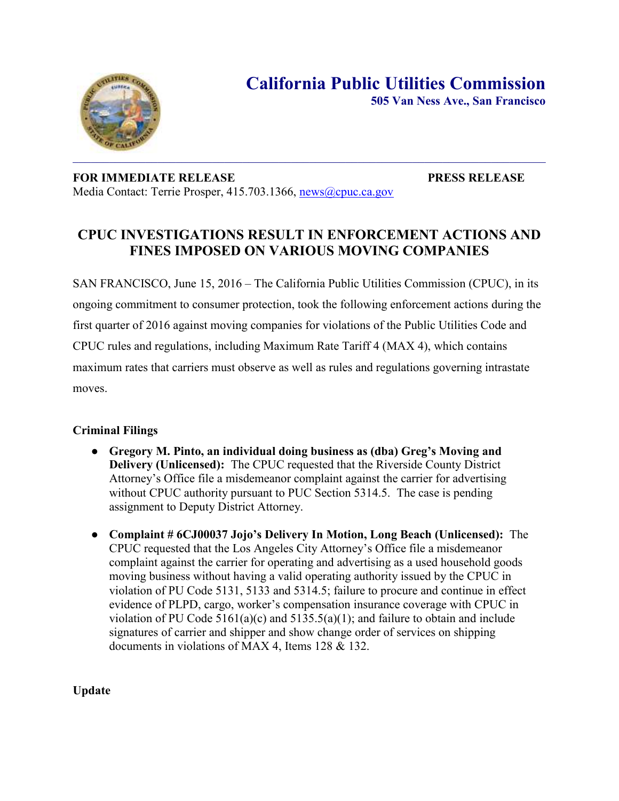

 $\mathcal{L}_\text{max}$  and  $\mathcal{L}_\text{max}$  and  $\mathcal{L}_\text{max}$  are the set of the set of the set of the set of the set of the set of the set of the set of the set of the set of the set of the set of the set of the set of the set of th **FOR IMMEDIATE RELEASE PRESS RELEASE** 

Media Contact: Terrie Prosper, 415.703.1366, [news@cpuc.ca.gov](mailto:news@cpuc.ca.gov)

# **CPUC INVESTIGATIONS RESULT IN ENFORCEMENT ACTIONS AND FINES IMPOSED ON VARIOUS MOVING COMPANIES**

SAN FRANCISCO, June 15, 2016 – The California Public Utilities Commission (CPUC), in its ongoing commitment to consumer protection, took the following enforcement actions during the first quarter of 2016 against moving companies for violations of the Public Utilities Code and CPUC rules and regulations, including Maximum Rate Tariff 4 (MAX 4), which contains maximum rates that carriers must observe as well as rules and regulations governing intrastate moves.

# **Criminal Filings**

- **Gregory M. Pinto, an individual doing business as (dba) Greg's Moving and Delivery (Unlicensed):** The CPUC requested that the Riverside County District Attorney's Office file a misdemeanor complaint against the carrier for advertising without CPUC authority pursuant to PUC Section 5314.5. The case is pending assignment to Deputy District Attorney.
- **Complaint # 6CJ00037 Jojo's Delivery In Motion, Long Beach (Unlicensed):** The CPUC requested that the Los Angeles City Attorney's Office file a misdemeanor complaint against the carrier for operating and advertising as a used household goods moving business without having a valid operating authority issued by the CPUC in violation of PU Code 5131, 5133 and 5314.5; failure to procure and continue in effect evidence of PLPD, cargo, worker's compensation insurance coverage with CPUC in violation of PU Code  $5161(a)(c)$  and  $5135.5(a)(1)$ ; and failure to obtain and include signatures of carrier and shipper and show change order of services on shipping documents in violations of MAX 4, Items 128 & 132.

**Update**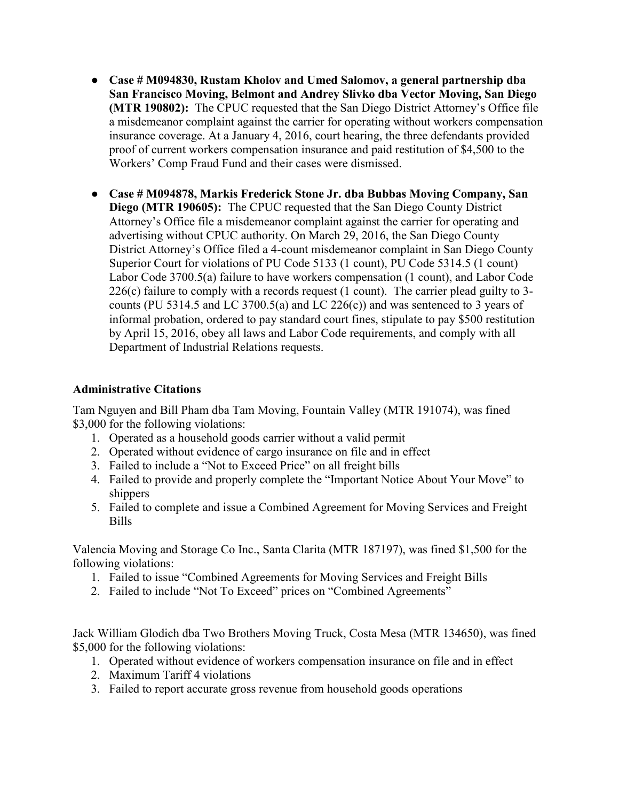- **Case # M094830, Rustam Kholov and Umed Salomov, a general partnership dba San Francisco Moving, Belmont and Andrey Slivko dba Vector Moving, San Diego (MTR 190802):** The CPUC requested that the San Diego District Attorney's Office file a misdemeanor complaint against the carrier for operating without workers compensation insurance coverage. At a January 4, 2016, court hearing, the three defendants provided proof of current workers compensation insurance and paid restitution of \$4,500 to the Workers' Comp Fraud Fund and their cases were dismissed.
- **Case # M094878, Markis Frederick Stone Jr. dba Bubbas Moving Company, San Diego (MTR 190605):** The CPUC requested that the San Diego County District Attorney's Office file a misdemeanor complaint against the carrier for operating and advertising without CPUC authority. On March 29, 2016, the San Diego County District Attorney's Office filed a 4-count misdemeanor complaint in San Diego County Superior Court for violations of PU Code 5133 (1 count), PU Code 5314.5 (1 count) Labor Code 3700.5(a) failure to have workers compensation (1 count), and Labor Code  $226(c)$  failure to comply with a records request (1 count). The carrier plead guilty to 3counts (PU 5314.5 and LC 3700.5(a) and LC 226(c)) and was sentenced to 3 years of informal probation, ordered to pay standard court fines, stipulate to pay \$500 restitution by April 15, 2016, obey all laws and Labor Code requirements, and comply with all Department of Industrial Relations requests.

# **Administrative Citations**

Tam Nguyen and Bill Pham dba Tam Moving, Fountain Valley (MTR 191074), was fined \$3,000 for the following violations:

- 1. Operated as a household goods carrier without a valid permit
- 2. Operated without evidence of cargo insurance on file and in effect
- 3. Failed to include a "Not to Exceed Price" on all freight bills
- 4. Failed to provide and properly complete the "Important Notice About Your Move" to shippers
- 5. Failed to complete and issue a Combined Agreement for Moving Services and Freight Bills

Valencia Moving and Storage Co Inc., Santa Clarita (MTR 187197), was fined \$1,500 for the following violations:

- 1. Failed to issue "Combined Agreements for Moving Services and Freight Bills
- 2. Failed to include "Not To Exceed" prices on "Combined Agreements"

Jack William Glodich dba Two Brothers Moving Truck, Costa Mesa (MTR 134650), was fined \$5,000 for the following violations:

- 1. Operated without evidence of workers compensation insurance on file and in effect
- 2. Maximum Tariff 4 violations
- 3. Failed to report accurate gross revenue from household goods operations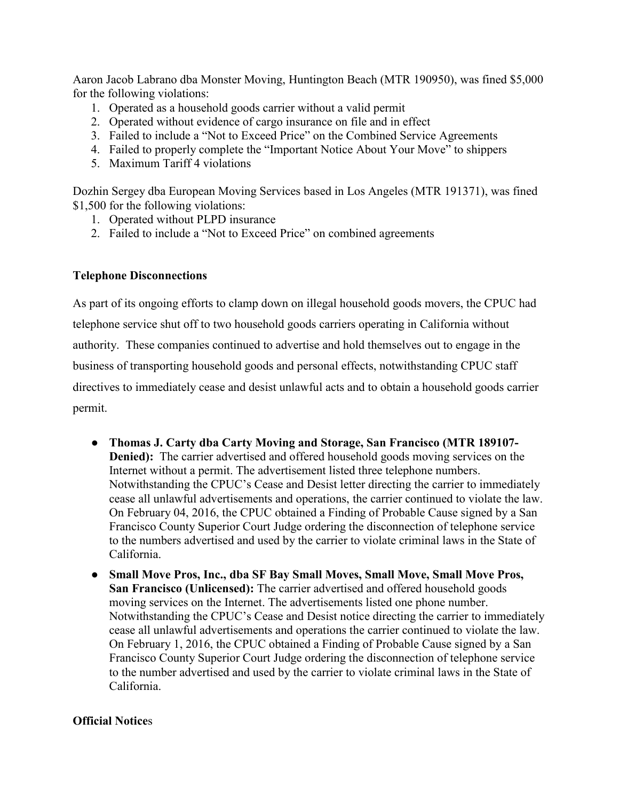Aaron Jacob Labrano dba Monster Moving, Huntington Beach (MTR 190950), was fined \$5,000 for the following violations:

- 1. Operated as a household goods carrier without a valid permit
- 2. Operated without evidence of cargo insurance on file and in effect
- 3. Failed to include a "Not to Exceed Price" on the Combined Service Agreements
- 4. Failed to properly complete the "Important Notice About Your Move" to shippers
- 5. Maximum Tariff 4 violations

Dozhin Sergey dba European Moving Services based in Los Angeles (MTR 191371), was fined \$1,500 for the following violations:

- 1. Operated without PLPD insurance
- 2. Failed to include a "Not to Exceed Price" on combined agreements

### **Telephone Disconnections**

As part of its ongoing efforts to clamp down on illegal household goods movers, the CPUC had telephone service shut off to two household goods carriers operating in California without authority. These companies continued to advertise and hold themselves out to engage in the business of transporting household goods and personal effects, notwithstanding CPUC staff directives to immediately cease and desist unlawful acts and to obtain a household goods carrier permit.

- **Thomas J. Carty dba Carty Moving and Storage, San Francisco (MTR 189107- Denied):** The carrier advertised and offered household goods moving services on the Internet without a permit. The advertisement listed three telephone numbers. Notwithstanding the CPUC's Cease and Desist letter directing the carrier to immediately cease all unlawful advertisements and operations, the carrier continued to violate the law. On February 04, 2016, the CPUC obtained a Finding of Probable Cause signed by a San Francisco County Superior Court Judge ordering the disconnection of telephone service to the numbers advertised and used by the carrier to violate criminal laws in the State of California.
- **Small Move Pros, Inc., dba SF Bay Small Moves, Small Move, Small Move Pros, San Francisco (Unlicensed):** The carrier advertised and offered household goods moving services on the Internet. The advertisements listed one phone number. Notwithstanding the CPUC's Cease and Desist notice directing the carrier to immediately cease all unlawful advertisements and operations the carrier continued to violate the law. On February 1, 2016, the CPUC obtained a Finding of Probable Cause signed by a San Francisco County Superior Court Judge ordering the disconnection of telephone service to the number advertised and used by the carrier to violate criminal laws in the State of California.

### **Official Notice**s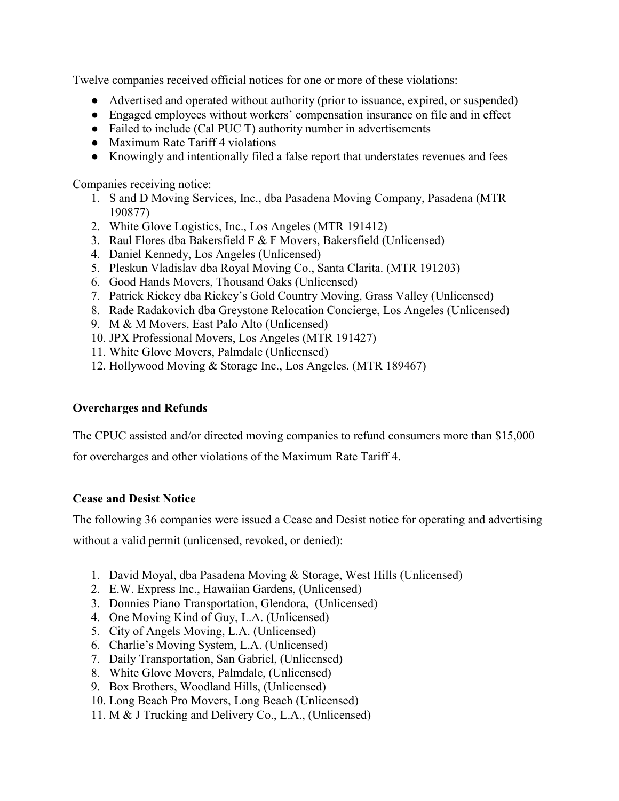Twelve companies received official notices for one or more of these violations:

- Advertised and operated without authority (prior to issuance, expired, or suspended)
- Engaged employees without workers' compensation insurance on file and in effect
- Failed to include (Cal PUC T) authority number in advertisements
- Maximum Rate Tariff 4 violations
- Knowingly and intentionally filed a false report that understates revenues and fees

Companies receiving notice:

- 1. S and D Moving Services, Inc., dba Pasadena Moving Company, Pasadena (MTR 190877)
- 2. White Glove Logistics, Inc., Los Angeles (MTR 191412)
- 3. Raul Flores dba Bakersfield F & F Movers, Bakersfield (Unlicensed)
- 4. Daniel Kennedy, Los Angeles (Unlicensed)
- 5. Pleskun Vladislav dba Royal Moving Co., Santa Clarita. (MTR 191203)
- 6. Good Hands Movers, Thousand Oaks (Unlicensed)
- 7. Patrick Rickey dba Rickey's Gold Country Moving, Grass Valley (Unlicensed)
- 8. Rade Radakovich dba Greystone Relocation Concierge, Los Angeles (Unlicensed)
- 9. M & M Movers, East Palo Alto (Unlicensed)
- 10. JPX Professional Movers, Los Angeles (MTR 191427)
- 11. White Glove Movers, Palmdale (Unlicensed)
- 12. Hollywood Moving & Storage Inc., Los Angeles. (MTR 189467)

# **Overcharges and Refunds**

The CPUC assisted and/or directed moving companies to refund consumers more than \$15,000

for overcharges and other violations of the Maximum Rate Tariff 4.

# **Cease and Desist Notice**

The following 36 companies were issued a Cease and Desist notice for operating and advertising

without a valid permit (unlicensed, revoked, or denied):

- 1. David Moyal, dba Pasadena Moving & Storage, West Hills (Unlicensed)
- 2. E.W. Express Inc., Hawaiian Gardens, (Unlicensed)
- 3. Donnies Piano Transportation, Glendora, (Unlicensed)
- 4. One Moving Kind of Guy, L.A. (Unlicensed)
- 5. City of Angels Moving, L.A. (Unlicensed)
- 6. Charlie's Moving System, L.A. (Unlicensed)
- 7. Daily Transportation, San Gabriel, (Unlicensed)
- 8. White Glove Movers, Palmdale, (Unlicensed)
- 9. Box Brothers, Woodland Hills, (Unlicensed)
- 10. Long Beach Pro Movers, Long Beach (Unlicensed)
- 11. M & J Trucking and Delivery Co., L.A., (Unlicensed)